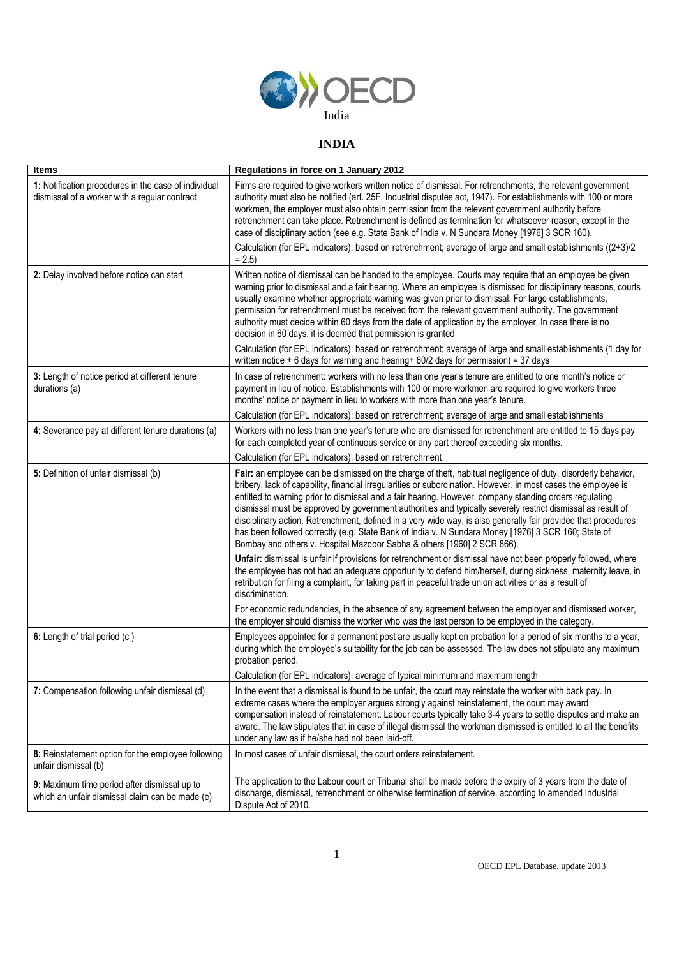

## **INDIA**

| <b>Items</b>                                                                                          | Regulations in force on 1 January 2012                                                                                                                                                                                                                                                                                                                                                                                                                                                                                                                                                                                                                                                                                                                      |
|-------------------------------------------------------------------------------------------------------|-------------------------------------------------------------------------------------------------------------------------------------------------------------------------------------------------------------------------------------------------------------------------------------------------------------------------------------------------------------------------------------------------------------------------------------------------------------------------------------------------------------------------------------------------------------------------------------------------------------------------------------------------------------------------------------------------------------------------------------------------------------|
| 1: Notification procedures in the case of individual<br>dismissal of a worker with a regular contract | Firms are required to give workers written notice of dismissal. For retrenchments, the relevant government<br>authority must also be notified (art. 25F, Industrial disputes act, 1947). For establishments with 100 or more<br>workmen, the employer must also obtain permission from the relevant government authority before<br>retrenchment can take place. Retrenchment is defined as termination for whatsoever reason, except in the<br>case of disciplinary action (see e.g. State Bank of India v. N Sundara Money [1976] 3 SCR 160).                                                                                                                                                                                                              |
|                                                                                                       | Calculation (for EPL indicators): based on retrenchment; average of large and small establishments ((2+3)/2<br>$= 2.5$                                                                                                                                                                                                                                                                                                                                                                                                                                                                                                                                                                                                                                      |
| 2: Delay involved before notice can start                                                             | Written notice of dismissal can be handed to the employee. Courts may require that an employee be given<br>warning prior to dismissal and a fair hearing. Where an employee is dismissed for disciplinary reasons, courts<br>usually examine whether appropriate warning was given prior to dismissal. For large establishments,<br>permission for retrenchment must be received from the relevant government authority. The government<br>authority must decide within 60 days from the date of application by the employer. In case there is no<br>decision in 60 days, it is deemed that permission is granted                                                                                                                                           |
|                                                                                                       | Calculation (for EPL indicators): based on retrenchment; average of large and small establishments (1 day for<br>written notice + 6 days for warning and hearing + $60/2$ days for permission) = 37 days                                                                                                                                                                                                                                                                                                                                                                                                                                                                                                                                                    |
| 3: Length of notice period at different tenure<br>durations (a)                                       | In case of retrenchment: workers with no less than one year's tenure are entitled to one month's notice or<br>payment in lieu of notice. Establishments with 100 or more workmen are required to give workers three<br>months' notice or payment in lieu to workers with more than one year's tenure.                                                                                                                                                                                                                                                                                                                                                                                                                                                       |
|                                                                                                       | Calculation (for EPL indicators): based on retrenchment; average of large and small establishments                                                                                                                                                                                                                                                                                                                                                                                                                                                                                                                                                                                                                                                          |
| 4: Severance pay at different tenure durations (a)                                                    | Workers with no less than one year's tenure who are dismissed for retrenchment are entitled to 15 days pay<br>for each completed year of continuous service or any part thereof exceeding six months.                                                                                                                                                                                                                                                                                                                                                                                                                                                                                                                                                       |
|                                                                                                       | Calculation (for EPL indicators): based on retrenchment                                                                                                                                                                                                                                                                                                                                                                                                                                                                                                                                                                                                                                                                                                     |
| 5: Definition of unfair dismissal (b)                                                                 | Fair: an employee can be dismissed on the charge of theft, habitual negligence of duty, disorderly behavior,<br>bribery, lack of capability, financial irregularities or subordination. However, in most cases the employee is<br>entitled to warning prior to dismissal and a fair hearing. However, company standing orders regulating<br>dismissal must be approved by government authorities and typically severely restrict dismissal as result of<br>disciplinary action. Retrenchment, defined in a very wide way, is also generally fair provided that procedures<br>has been followed correctly (e.g. State Bank of India v. N Sundara Money [1976] 3 SCR 160; State of<br>Bombay and others v. Hospital Mazdoor Sabha & others [1960] 2 SCR 866). |
|                                                                                                       | Unfair: dismissal is unfair if provisions for retrenchment or dismissal have not been properly followed, where<br>the employee has not had an adequate opportunity to defend him/herself, during sickness, maternity leave, in<br>retribution for filing a complaint, for taking part in peaceful trade union activities or as a result of<br>discrimination.                                                                                                                                                                                                                                                                                                                                                                                               |
|                                                                                                       | For economic redundancies, in the absence of any agreement between the employer and dismissed worker,<br>the employer should dismiss the worker who was the last person to be employed in the category.                                                                                                                                                                                                                                                                                                                                                                                                                                                                                                                                                     |
| 6: Length of trial period (c)                                                                         | Employees appointed for a permanent post are usually kept on probation for a period of six months to a year,<br>during which the employee's suitability for the job can be assessed. The law does not stipulate any maximum<br>probation period.                                                                                                                                                                                                                                                                                                                                                                                                                                                                                                            |
|                                                                                                       | Calculation (for EPL indicators): average of typical minimum and maximum length                                                                                                                                                                                                                                                                                                                                                                                                                                                                                                                                                                                                                                                                             |
| 7: Compensation following unfair dismissal (d)                                                        | In the event that a dismissal is found to be unfair, the court may reinstate the worker with back pay. In<br>extreme cases where the employer argues strongly against reinstatement, the court may award<br>compensation instead of reinstatement. Labour courts typically take 3-4 years to settle disputes and make an<br>award. The law stipulates that in case of illegal dismissal the workman dismissed is entitled to all the benefits<br>under any law as if he/she had not been laid-off.                                                                                                                                                                                                                                                          |
| 8: Reinstatement option for the employee following<br>unfair dismissal (b)                            | In most cases of unfair dismissal, the court orders reinstatement.                                                                                                                                                                                                                                                                                                                                                                                                                                                                                                                                                                                                                                                                                          |
| 9: Maximum time period after dismissal up to<br>which an unfair dismissal claim can be made (e)       | The application to the Labour court or Tribunal shall be made before the expiry of 3 years from the date of<br>discharge, dismissal, retrenchment or otherwise termination of service, according to amended Industrial<br>Dispute Act of 2010.                                                                                                                                                                                                                                                                                                                                                                                                                                                                                                              |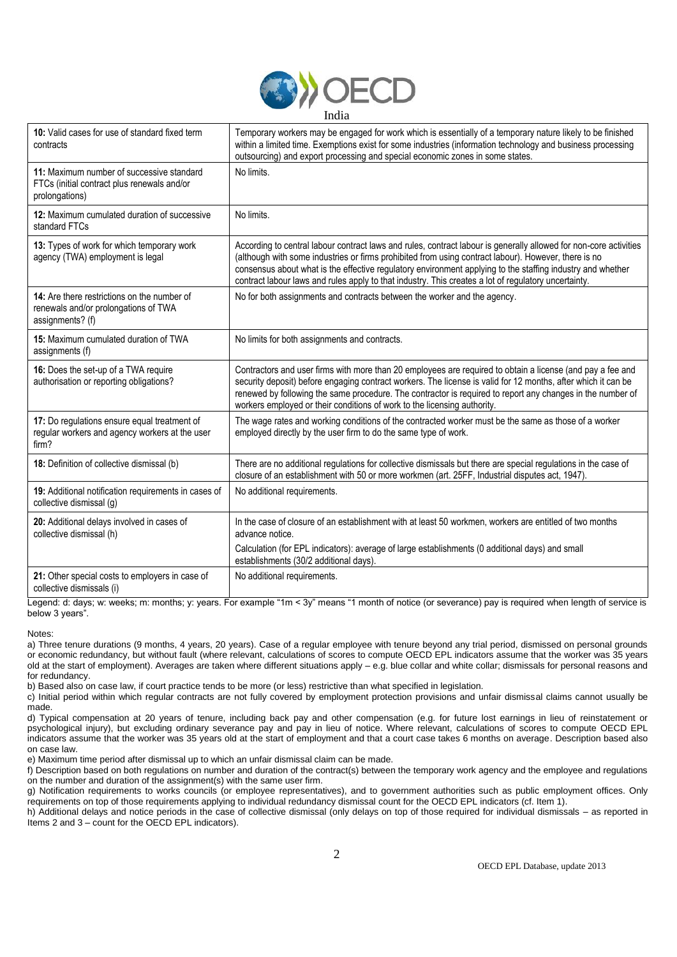

| 10: Valid cases for use of standard fixed term<br>contracts                                                | Temporary workers may be engaged for work which is essentially of a temporary nature likely to be finished<br>within a limited time. Exemptions exist for some industries (information technology and business processing<br>outsourcing) and export processing and special economic zones in some states.                                                                                                                                      |
|------------------------------------------------------------------------------------------------------------|-------------------------------------------------------------------------------------------------------------------------------------------------------------------------------------------------------------------------------------------------------------------------------------------------------------------------------------------------------------------------------------------------------------------------------------------------|
| 11: Maximum number of successive standard<br>FTCs (initial contract plus renewals and/or<br>prolongations) | No limits.                                                                                                                                                                                                                                                                                                                                                                                                                                      |
| 12: Maximum cumulated duration of successive<br>standard FTCs                                              | No limits.                                                                                                                                                                                                                                                                                                                                                                                                                                      |
| 13: Types of work for which temporary work<br>agency (TWA) employment is legal                             | According to central labour contract laws and rules, contract labour is generally allowed for non-core activities<br>(although with some industries or firms prohibited from using contract labour). However, there is no<br>consensus about what is the effective regulatory environment applying to the staffing industry and whether<br>contract labour laws and rules apply to that industry. This creates a lot of regulatory uncertainty. |
| 14: Are there restrictions on the number of<br>renewals and/or prolongations of TWA<br>assignments? (f)    | No for both assignments and contracts between the worker and the agency.                                                                                                                                                                                                                                                                                                                                                                        |
| 15: Maximum cumulated duration of TWA<br>assignments (f)                                                   | No limits for both assignments and contracts.                                                                                                                                                                                                                                                                                                                                                                                                   |
| 16: Does the set-up of a TWA require<br>authorisation or reporting obligations?                            | Contractors and user firms with more than 20 employees are required to obtain a license (and pay a fee and<br>security deposit) before engaging contract workers. The license is valid for 12 months, after which it can be<br>renewed by following the same procedure. The contractor is required to report any changes in the number of<br>workers employed or their conditions of work to the licensing authority.                           |
| 17: Do regulations ensure equal treatment of<br>regular workers and agency workers at the user<br>firm?    | The wage rates and working conditions of the contracted worker must be the same as those of a worker<br>employed directly by the user firm to do the same type of work.                                                                                                                                                                                                                                                                         |
| 18: Definition of collective dismissal (b)                                                                 | There are no additional regulations for collective dismissals but there are special regulations in the case of<br>closure of an establishment with 50 or more workmen (art. 25FF, Industrial disputes act, 1947).                                                                                                                                                                                                                               |
| 19: Additional notification requirements in cases of<br>collective dismissal (g)                           | No additional requirements.                                                                                                                                                                                                                                                                                                                                                                                                                     |
| 20: Additional delays involved in cases of<br>collective dismissal (h)                                     | In the case of closure of an establishment with at least 50 workmen, workers are entitled of two months<br>advance notice.                                                                                                                                                                                                                                                                                                                      |
|                                                                                                            | Calculation (for EPL indicators): average of large establishments (0 additional days) and small<br>establishments (30/2 additional days).                                                                                                                                                                                                                                                                                                       |
| 21: Other special costs to employers in case of<br>collective dismissals (i)                               | No additional requirements.                                                                                                                                                                                                                                                                                                                                                                                                                     |

Legend: d: days; w: weeks; m: months; y: years. For example "1m < 3y" means "1 month of notice (or severance) pay is required when length of service is below 3 years".

Notes:

a) Three tenure durations (9 months, 4 years, 20 years). Case of a regular employee with tenure beyond any trial period, dismissed on personal grounds or economic redundancy, but without fault (where relevant, calculations of scores to compute OECD EPL indicators assume that the worker was 35 years old at the start of employment). Averages are taken where different situations apply – e.g. blue collar and white collar; dismissals for personal reasons and for redundancy.

b) Based also on case law, if court practice tends to be more (or less) restrictive than what specified in legislation.

c) Initial period within which regular contracts are not fully covered by employment protection provisions and unfair dismissal claims cannot usually be made.

d) Typical compensation at 20 years of tenure, including back pay and other compensation (e.g. for future lost earnings in lieu of reinstatement or psychological injury), but excluding ordinary severance pay and pay in lieu of notice. Where relevant, calculations of scores to compute OECD EPL indicators assume that the worker was 35 years old at the start of employment and that a court case takes 6 months on average. Description based also on case law.

e) Maximum time period after dismissal up to which an unfair dismissal claim can be made.

f) Description based on both regulations on number and duration of the contract(s) between the temporary work agency and the employee and regulations on the number and duration of the assignment(s) with the same user firm.

g) Notification requirements to works councils (or employee representatives), and to government authorities such as public employment offices. Only requirements on top of those requirements applying to individual redundancy dismissal count for the OECD EPL indicators (cf. Item 1).

h) Additional delays and notice periods in the case of collective dismissal (only delays on top of those required for individual dismissals – as reported in Items 2 and 3 – count for the OECD EPL indicators).